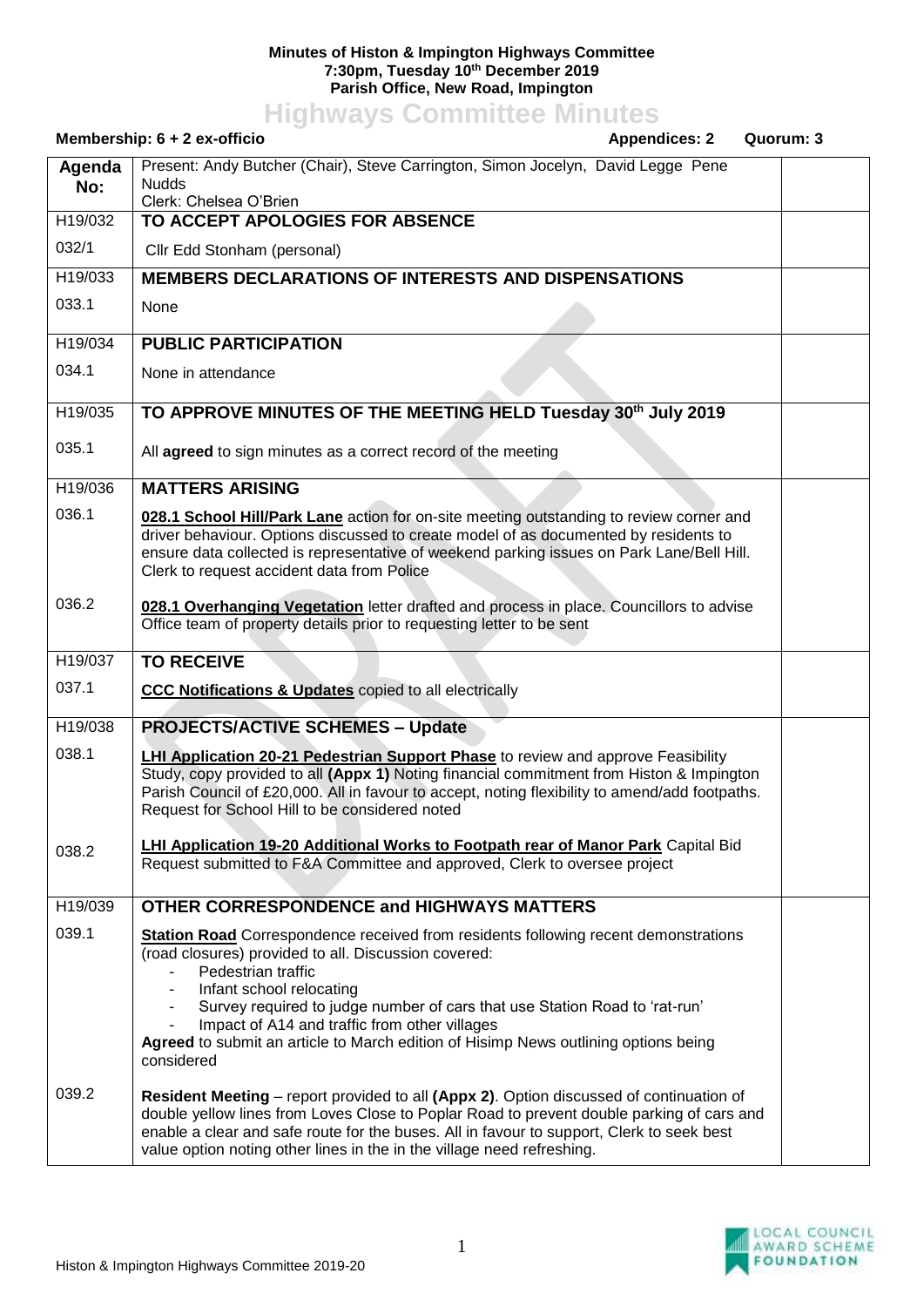## **Minutes of Histon & Impington Highways Committee 7:30pm, Tuesday 10th December 2019 Parish Office, New Road, Impington**

## **Highways Committee Minutes**

|               | Membership: 6 + 2 ex-officio<br><b>Appendices: 2</b><br>Quorum: 3                                                                                                                                                                                                                                                                                                                                                                        |  |
|---------------|------------------------------------------------------------------------------------------------------------------------------------------------------------------------------------------------------------------------------------------------------------------------------------------------------------------------------------------------------------------------------------------------------------------------------------------|--|
| Agenda<br>No: | Present: Andy Butcher (Chair), Steve Carrington, Simon Jocelyn, David Legge Pene<br><b>Nudds</b><br>Clerk: Chelsea O'Brien                                                                                                                                                                                                                                                                                                               |  |
| H19/032       | TO ACCEPT APOLOGIES FOR ABSENCE                                                                                                                                                                                                                                                                                                                                                                                                          |  |
| 032/1         | Cllr Edd Stonham (personal)                                                                                                                                                                                                                                                                                                                                                                                                              |  |
| H19/033       | <b>MEMBERS DECLARATIONS OF INTERESTS AND DISPENSATIONS</b>                                                                                                                                                                                                                                                                                                                                                                               |  |
| 033.1         | None                                                                                                                                                                                                                                                                                                                                                                                                                                     |  |
| H19/034       | <b>PUBLIC PARTICIPATION</b>                                                                                                                                                                                                                                                                                                                                                                                                              |  |
| 034.1         | None in attendance                                                                                                                                                                                                                                                                                                                                                                                                                       |  |
| H19/035       | TO APPROVE MINUTES OF THE MEETING HELD Tuesday 30th July 2019                                                                                                                                                                                                                                                                                                                                                                            |  |
| 035.1         | All agreed to sign minutes as a correct record of the meeting                                                                                                                                                                                                                                                                                                                                                                            |  |
| H19/036       | <b>MATTERS ARISING</b>                                                                                                                                                                                                                                                                                                                                                                                                                   |  |
| 036.1         | 028.1 School Hill/Park Lane action for on-site meeting outstanding to review corner and<br>driver behaviour. Options discussed to create model of as documented by residents to<br>ensure data collected is representative of weekend parking issues on Park Lane/Bell Hill.<br>Clerk to request accident data from Police                                                                                                               |  |
| 036.2         | 028.1 Overhanging Vegetation letter drafted and process in place. Councillors to advise<br>Office team of property details prior to requesting letter to be sent                                                                                                                                                                                                                                                                         |  |
| H19/037       | <b>TO RECEIVE</b>                                                                                                                                                                                                                                                                                                                                                                                                                        |  |
| 037.1         | <b>CCC Notifications &amp; Updates</b> copied to all electrically                                                                                                                                                                                                                                                                                                                                                                        |  |
| H19/038       | <b>PROJECTS/ACTIVE SCHEMES - Update</b>                                                                                                                                                                                                                                                                                                                                                                                                  |  |
| 038.1         | <b>LHI Application 20-21 Pedestrian Support Phase</b> to review and approve Feasibility<br>Study, copy provided to all (Appx 1) Noting financial commitment from Histon & Impington<br>Parish Council of £20,000. All in favour to accept, noting flexibility to amend/add footpaths.<br>Request for School Hill to be considered noted                                                                                                  |  |
| 038.2         | <b>LHI Application 19-20 Additional Works to Footpath rear of Manor Park Capital Bid</b><br>Request submitted to F&A Committee and approved, Clerk to oversee project                                                                                                                                                                                                                                                                    |  |
| H19/039       | <b>OTHER CORRESPONDENCE and HIGHWAYS MATTERS</b>                                                                                                                                                                                                                                                                                                                                                                                         |  |
| 039.1         | <b>Station Road</b> Correspondence received from residents following recent demonstrations<br>(road closures) provided to all. Discussion covered:<br>Pedestrian traffic<br>Infant school relocating<br>Survey required to judge number of cars that use Station Road to 'rat-run'<br>Impact of A14 and traffic from other villages<br>Agreed to submit an article to March edition of Hisimp News outlining options being<br>considered |  |
| 039.2         | <b>Resident Meeting</b> – report provided to all (Appx 2). Option discussed of continuation of<br>double yellow lines from Loves Close to Poplar Road to prevent double parking of cars and<br>enable a clear and safe route for the buses. All in favour to support, Clerk to seek best<br>value option noting other lines in the in the village need refreshing.                                                                       |  |